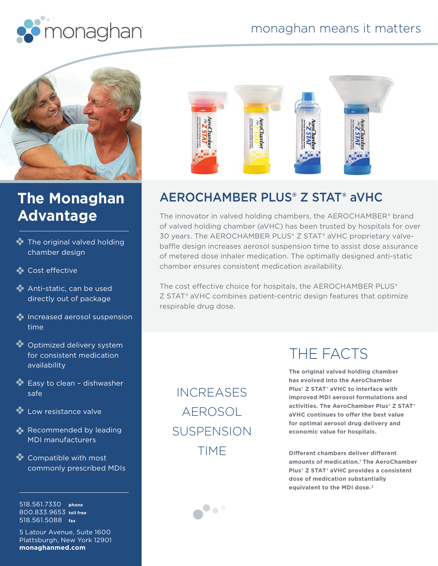



## **The Monaghan Advantage**

- **The original valved holding** chamber design
- **Cost effective**
- Anti-static, can be used directly out of package
- **Increased aerosol suspension** time
- **C**optimized delivery system for consistent medication availability
- **Easy to clean dishwasher** safe
- **Cow resistance valve**
- Recommended by leading MDI manufacturers
- **Compatible with most** commonly prescribed MDIs

518.561.7330 **phone** 800.833.9653 **toll free** 518.561.5088 **fax**

5 Latour Avenue, Suite 1600 Plattsburgh, New York 12901 **monaghanmed.com**



#### AEROCHAMBER PLUS® Z STAT® aVHC

The innovator in valved holding chambers, the AEROCHAMBER® brand of valved holding chamber (aVHC) has been trusted by hospitals for over 30 years. The AEROCHAMBER PLUS® Z STAT® aVHC proprietary valvebaffle design increases aerosol suspension time to assist dose assurance of metered dose inhaler medication. The optimally designed anti-static chamber ensures consistent medication availability.

The cost effective choice for hospitals, the AEROCHAMBER PLUS® Z STAT® aVHC combines patient-centric design features that optimize respirable drug dose.

INCREASES AEROSOL SUSPENSION TIME

### THE FACTS

**The original valved holding chamber has evolved into the AeroChamber Plus® Z STAT® aVHC to interface with improved MDI aerosol formulations and activities. The AeroChamber Plus® Z STAT® aVHC continues to offer the best value for optimal aerosol drug delivery and economic value for hospitals.**

**Different chambers deliver different amounts of medication.1 The AeroChamber Plus® Z STAT® aVHC provides a consistent dose of medication substantially equivalent to the MDI dose.2**